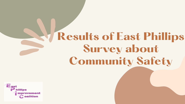# **Results of East Phillips Survey about Community Safety**

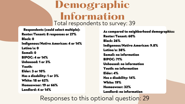Respondents (could select multiple): Renter/Tenant: 8 responses or 27% Black: 0 Indigenous/Native American: 4 or 14% Latino/a: 0 Somali: 0 BIPOC: 4 or 14% Unhoused: 1 or 3% Youth: Elder: 3 or 10% Has a disability: 1 or 3% White: 18 or 62% Homeowner: 19 or 66% Landlord: 4 or 14%

## **Demographic Information** Total respondents to survey: 39

#### As compared to neighborhood demographics: Renter/Tenant: 60%

- 
- 

#### Indigenous/Native American: 9.8%

Black: 26% Latino/a: 38% BIPOC: 71% Elder: 4% White: 19%

- 
- Somali: no information
	-
- Unhoused: no information
- Youth: no information
	-
- Has a disability: 14%
	-
- Homeowner: 32%
- Landlord: no information
	-

Responses to this optional question: 29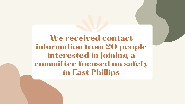**We received contact information from 20 people interested in joining a committee focused on safety in East Phillips**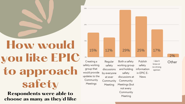**How would you like EPIC to approach safety**

**Respondents were able to choose as many as they'd like** 20% 10% 15% 12% 0%

Creating a group that would provide updates to the Community Meetings

30%

Both a safety Publish Regular working group safety safety and holding information discussions in EPIC Esafety by everyone News discussions at at ever Community Community Meetings (but Meeting not every Community Meeting



I don't know or no strong opinion

Other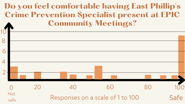

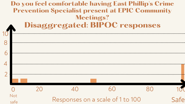#### **Do you feel comfortable having East Phillip's Crime Prevention Specialist present at EPIC Community Meetings? Disaggregated: BIPOC responses**

| Not<br>safe | Responses on a scale of 1 to 100 |  |  |  |  |
|-------------|----------------------------------|--|--|--|--|

#### f 1 to 100

| 10             |
|----------------|
| 8              |
| 6              |
| 4              |
| $\overline{2}$ |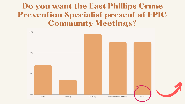### **Do you want the East Phillips Crime Prevention Specialist present at EPIC Community Meetings?**

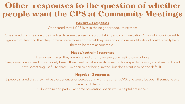### **'Other' responses to the question of whether people want the CPS at Community Meetings**

#### Positive - 2 responses

One shared that if CPS lives in the neighborhood, invite them

One shared that she should be involved to some degree for accountability and communication. "It is not in our interest to ignore that. Insisting that they communicate more about what they see and do in our neighborhood could actually help them to be more accountable."

#### Maybe/neutral - 4 responses

1 response: shared they are white and priority on everyone feeling comfortable 3 responses: on as need or invite only basis. "If we need her at a specific meeting for a specific reason, and if we think she 'll have something useful to share, I' m open to her being invited, but don 't want it to be the default."

#### Negative - 3 responses

3 people shared that they had bad experiences or perceptions with the current CPS, one would be open if someone else were to fill the position

"I don 't think this particular crime prevention specialist is a helpful presence."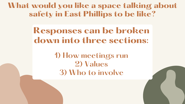## **Responses can be broken down into three sections:**

**1) How meetings run 2) Values 3) Who to involve**

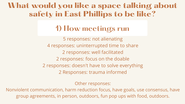### **1) How meetings run**

 responses: not alienating responses: uninterrupted time to share responses: well facilitated responses: focus on the doable responses: doesn't have to solve everything

2 Responses: trauma informed

Other responses:

Nonviolent communication, harm reduction focus, have goals, use consensus, have group agreements, in person, outdoors, fun pop ups with food, outdoors.

- 
- 
- 
- 
-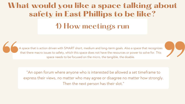## **What would you like a space talking about safety in East Phillips to be like? 1) How meetings run**

"An open forum where anyone who is interested be allowed a set timeframe to express their views, no matter who may agree or disagree no matter how strongly. Then the next person has their slot."



A space that is action driven with SMART short, medium and long-term goals. Also a space that recognizes that there macro issues to safety, which this space does not have the resources or power to solve for. This space needs to be focused on the micro, the tangible, the doable.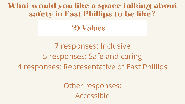#### **2) Values**

7 responses: Inclusive 5 responses: Safe and caring 4 responses: Representative of East Phillips

> Other responses: Accessible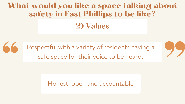**2) Values**

Respectful with a variety of residents having a safe space for their voice to be heard.

#### "Honest, open and accountable "

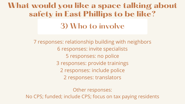## **What would you like a space talking about safety in East Phillips to be like? 3) Who to involve**

- 7 responses: relationship building with neighbors 6 responses: invite specialists
	- - 5 responses: no police
	- 3 responses: provide trainings
		- 2 responses: include police
			- 2 responses: translators

Other responses:

No CPS; funded; include CPS; focus on tax paying residents

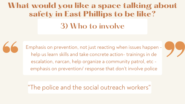## **What would you like a space talking about safety in East Phillips to be like? 3) Who to involve**



Emphasis on prevention, not just reacting when issues happen help us learn skills and take concrete action- trainings in de escalation, narcan, help organize a community patrol, etc emphasis on prevention/ response that don 't involve police

"The police and the social outreach workers "